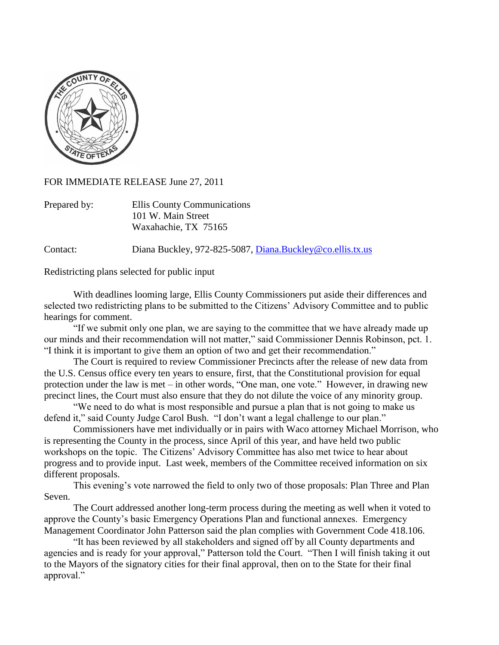

FOR IMMEDIATE RELEASE June 27, 2011

| Prepared by: | Ellis County Communications |
|--------------|-----------------------------|
|              | 101 W. Main Street          |
|              | Waxahachie, TX 75165        |

Contact: Diana Buckley, 972-825-5087, [Diana.Buckley@co.ellis.tx.us](mailto:Diana.Buckley@co.ellis.tx.us)

Redistricting plans selected for public input

With deadlines looming large, Ellis County Commissioners put aside their differences and selected two redistricting plans to be submitted to the Citizens' Advisory Committee and to public hearings for comment.

"If we submit only one plan, we are saying to the committee that we have already made up our minds and their recommendation will not matter," said Commissioner Dennis Robinson, pct. 1. "I think it is important to give them an option of two and get their recommendation."

The Court is required to review Commissioner Precincts after the release of new data from the U.S. Census office every ten years to ensure, first, that the Constitutional provision for equal protection under the law is met – in other words, "One man, one vote." However, in drawing new precinct lines, the Court must also ensure that they do not dilute the voice of any minority group.

"We need to do what is most responsible and pursue a plan that is not going to make us defend it," said County Judge Carol Bush. "I don't want a legal challenge to our plan."

Commissioners have met individually or in pairs with Waco attorney Michael Morrison, who is representing the County in the process, since April of this year, and have held two public workshops on the topic. The Citizens' Advisory Committee has also met twice to hear about progress and to provide input. Last week, members of the Committee received information on six different proposals.

This evening's vote narrowed the field to only two of those proposals: Plan Three and Plan Seven.

The Court addressed another long-term process during the meeting as well when it voted to approve the County's basic Emergency Operations Plan and functional annexes. Emergency Management Coordinator John Patterson said the plan complies with Government Code 418.106.

"It has been reviewed by all stakeholders and signed off by all County departments and agencies and is ready for your approval," Patterson told the Court. "Then I will finish taking it out to the Mayors of the signatory cities for their final approval, then on to the State for their final approval."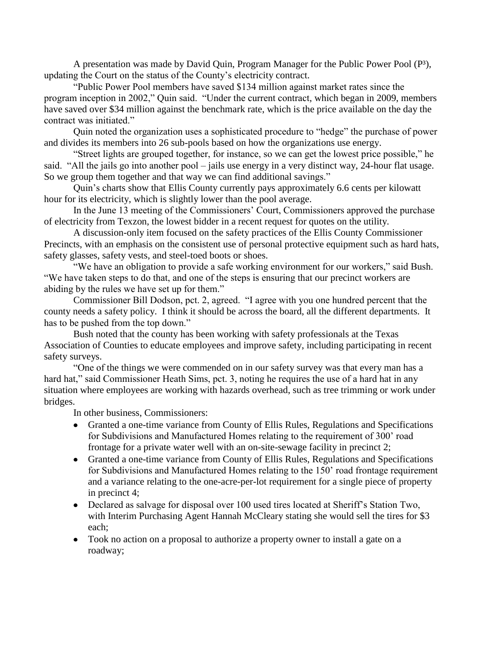A presentation was made by David Quin, Program Manager for the Public Power Pool  $(P^3)$ , updating the Court on the status of the County's electricity contract.

"Public Power Pool members have saved \$134 million against market rates since the program inception in 2002," Quin said. "Under the current contract, which began in 2009, members have saved over \$34 million against the benchmark rate, which is the price available on the day the contract was initiated."

Quin noted the organization uses a sophisticated procedure to "hedge" the purchase of power and divides its members into 26 sub-pools based on how the organizations use energy.

"Street lights are grouped together, for instance, so we can get the lowest price possible," he said. "All the jails go into another pool – jails use energy in a very distinct way, 24-hour flat usage. So we group them together and that way we can find additional savings."

Quin's charts show that Ellis County currently pays approximately 6.6 cents per kilowatt hour for its electricity, which is slightly lower than the pool average.

In the June 13 meeting of the Commissioners' Court, Commissioners approved the purchase of electricity from Texzon, the lowest bidder in a recent request for quotes on the utility.

A discussion-only item focused on the safety practices of the Ellis County Commissioner Precincts, with an emphasis on the consistent use of personal protective equipment such as hard hats, safety glasses, safety vests, and steel-toed boots or shoes.

"We have an obligation to provide a safe working environment for our workers," said Bush. "We have taken steps to do that, and one of the steps is ensuring that our precinct workers are abiding by the rules we have set up for them."

Commissioner Bill Dodson, pct. 2, agreed. "I agree with you one hundred percent that the county needs a safety policy. I think it should be across the board, all the different departments. It has to be pushed from the top down."

Bush noted that the county has been working with safety professionals at the Texas Association of Counties to educate employees and improve safety, including participating in recent safety surveys.

"One of the things we were commended on in our safety survey was that every man has a hard hat," said Commissioner Heath Sims, pct. 3, noting he requires the use of a hard hat in any situation where employees are working with hazards overhead, such as tree trimming or work under bridges.

In other business, Commissioners:

- Granted a one-time variance from County of Ellis Rules, Regulations and Specifications for Subdivisions and Manufactured Homes relating to the requirement of 300' road frontage for a private water well with an on-site-sewage facility in precinct 2;
- Granted a one-time variance from County of Ellis Rules, Regulations and Specifications for Subdivisions and Manufactured Homes relating to the 150' road frontage requirement and a variance relating to the one-acre-per-lot requirement for a single piece of property in precinct 4;
- Declared as salvage for disposal over 100 used tires located at Sheriff's Station Two, with Interim Purchasing Agent Hannah McCleary stating she would sell the tires for \$3 each;
- Took no action on a proposal to authorize a property owner to install a gate on a roadway;